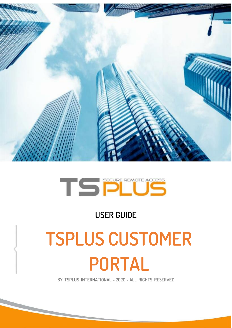

# TSPENOTE ACCESS

### **USER GUIDE**

# **TSPLUS CUSTOMER PORTAL**

**BY TSPLUS INTERNATIONAL – 2020 – ALL RIGHTS RESERVED**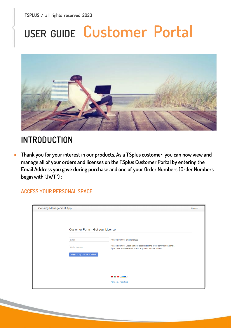# **USER GUIDE Customer Portal**



### **INTRODUCTION**

• **Thank you for your interest in our products. As a TSplus customer, you can now view and manage all of your orders and licenses on the TSplus Customer Portal by entering the Email Address you gave during purchase and one of your Order Numbers (Order Numbers begin with 'JWT ') :**

**ACCESS YOUR PERSONAL SPACE**

| <b>Licensing Management App</b>    |                                                                          | Support |
|------------------------------------|--------------------------------------------------------------------------|---------|
|                                    |                                                                          |         |
|                                    |                                                                          |         |
|                                    |                                                                          |         |
| Customer Portal - Get your License |                                                                          |         |
|                                    |                                                                          |         |
| Email                              | Please type your email address                                           |         |
| Order Number                       | Please type your Order Number specified in the order confirmation email. |         |
|                                    | If you have made several orders, any order number will do.               |         |
| Login to my Customer Portal        |                                                                          |         |
|                                    |                                                                          |         |
|                                    |                                                                          |         |
|                                    |                                                                          |         |
|                                    | ⊕ U ■ 〓 ■ U                                                              |         |
|                                    | Partners / Resellers                                                     |         |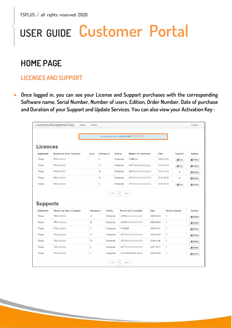## **USER GUIDE Customer Portal**

### **HOME PAGE**

#### **LICENSES AND SUPPORT**

• **Once logged in, you can see your License and Support purchases with the corresponding Software name, Serial Number, Number of users, Edition, Order Number, Date of purchase and Duration of your Support and Update Services. You can also view your Activation Key :**

|                    | <b>Licensing Management App</b><br>Home | Orders              |                     |                                    |                |                      |             |            |                         | Logout           |
|--------------------|-----------------------------------------|---------------------|---------------------|------------------------------------|----------------|----------------------|-------------|------------|-------------------------|------------------|
|                    |                                         |                     |                     |                                    |                |                      |             |            |                         |                  |
|                    |                                         |                     |                     | Your activation key is: NAQR-HVW5. |                |                      |             |            |                         |                  |
| <b>Licences</b>    |                                         |                     |                     |                                    |                |                      |             |            |                         |                  |
| <b>Application</b> | Numéro de Série / Computer              | Jours               | <b>Utilisateurs</b> |                                    | <b>Edition</b> | Numéro de Commande   | <b>Date</b> |            | Support?                | <b>Actions</b>   |
| <b>TSplus</b>      | P30                                     | ä,                  | 3                   |                                    | Enterprise     | 11408                |             | 2020-01-27 | i≣ Voir                 | <b>E</b> Détails |
| <b>TSplus</b>      | P65                                     | ä,                  | 10                  |                                    | Enterprise     | <b>JWT19</b>         |             | 2019-05-29 | i≣ Voir                 | <b>E</b> Détails |
| <b>TSplus</b>      | P <sub>24</sub>                         | ä,                  | 25                  |                                    | Enterprise     | <b>JWT18</b>         |             | 2018-10-19 | X                       | <b>E</b> Détails |
| <b>TSplus</b>      | P6E                                     | ä,                  | 10                  |                                    | Enterprise     | <b>JWT17</b>         |             | 2017-09-25 | Х                       | <b>E</b> Détails |
| <b>TSplus</b>      | <b>P62</b>                              | ä,                  | 5                   |                                    | Enterprise     | <b>JWT16</b>         |             | 2016-09-30 | i≣ Voir                 | <b>Détails</b>   |
| <b>Supports</b>    |                                         |                     |                     |                                    |                |                      |             |            |                         |                  |
| <b>Application</b> | Numéro de Série / Computer              | <b>Utilisateurs</b> |                     | <b>Edition</b>                     |                | Numéro de Commande   | Date        |            | <b>Duration (years)</b> | <b>Actions</b>   |
| <b>TSplus</b>      | P65                                     | 10                  |                     | Enterprise                         | <b>JWT20</b>   |                      | 2020-06-03  | 1          |                         | <b>E</b> Détails |
| <b>TSplus</b>      | PF3                                     | 25                  |                     | Enterprise                         | <b>JWT20</b>   |                      | 2020-06-03  | 1          |                         | <b>E</b> Détails |
| <b>TSplus</b>      | <b>P30</b>                              | 3                   |                     | Enterprise                         | 11408220       |                      | 2020-01-27  | 3          |                         | Détails          |
| <b>TSplus</b>      | P65                                     | 10 <sup>10</sup>    |                     | Enterprise                         | <b>JWT19</b>   |                      | 2019-05-29  | 1          |                         |                  |
|                    |                                         |                     |                     | Enterprise                         | <b>JWT18</b>   |                      | 2018-11-06  | 2          |                         | <b>E</b> Détails |
| <b>TSplus</b>      | P <sub>24</sub>                         | 25                  |                     |                                    |                |                      |             |            |                         | <b>E</b> Détails |
| <b>TSplus</b>      | P <sub>24</sub>                         | 5                   |                     | Enterprise                         | <b>JWT17</b>   |                      | 2017-10-11  | 1          |                         | <b>Détails</b>   |
| <b>TSplus</b>      | P62                                     | 5                   |                     | Enterprise                         |                | JWT160930-9510-42210 | 2016-09-30  | 1          |                         | <b>E</b> Détails |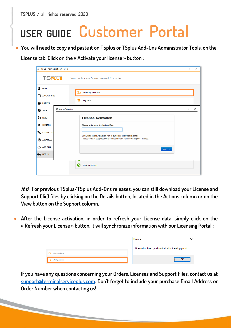**TSPLUS / all rights reserved 2020**

### **USER GUIDE Customer Portal**

• **You will need to copy and paste it on TSplus or TSplus Add-Ons Administrator Tools, on the** 

**License tab. Click on the « Activate your license » button :**

|   |                                         | TI TSplus - Administration Console                                          | - | $\Box$ | $\times$ |
|---|-----------------------------------------|-----------------------------------------------------------------------------|---|--------|----------|
|   | <b>TSPLUS</b>                           | Remote Access Management Console                                            |   |        |          |
|   | 命 номе                                  | Activate your License<br>ౚ౼                                                 |   |        |          |
| п | <b>APPLICATIONS</b><br><b>合 PRINTER</b> | ੲ<br><b>Buy Now</b>                                                         |   |        |          |
| ⊙ | <b>WEB</b>                              | <b>@ License Activation</b>                                                 |   | $\Box$ | $\times$ |
|   | <b>ED</b> FARM                          | <b>License Activation</b>                                                   |   |        |          |
| ≗ | <b>SESSIONS</b>                         | Please enter your Activation Key:                                           |   |        |          |
|   | <b>SYSTEM TOO</b>                       | You will find your Activation Key in our order confirmation email.          |   |        |          |
|   | <b>EDS</b> ADVANCED                     | Please contact Support should you require any help activating your license. |   |        |          |
|   | ۞ ADD-ONS                               | Next $\rightarrow$                                                          |   |        |          |
|   | <b>C</b> <sub>T</sub> LICENSE           |                                                                             |   |        |          |
|   |                                         | <b>Enterprise Edition</b>                                                   |   |        |          |
|   |                                         |                                                                             |   |        |          |

**N.B : For previous TSplus/TSplus Add-Ons releases, you can still download your License and Support (.lic) files by clicking on the Details button, located in the Actions column or on the View button on the Support column.**

• **After the License activation, in order to refresh your License data, simply click on the « Refresh your License » button, it will synchronize information with our Licensing Portal :**

|                       | License                                             |  |
|-----------------------|-----------------------------------------------------|--|
|                       | License has been synchronized with licensing portal |  |
| Activate your License |                                                     |  |
| Refresh your License  | ок                                                  |  |

**If you have any questions concerning your Orders, Licenses and Support Files, contact us at [support@terminalserviceplus.com.](mailto:support@terminalserviceplus.com) Don't forget to include your purchase Email Address or Order Number when contacting us!**